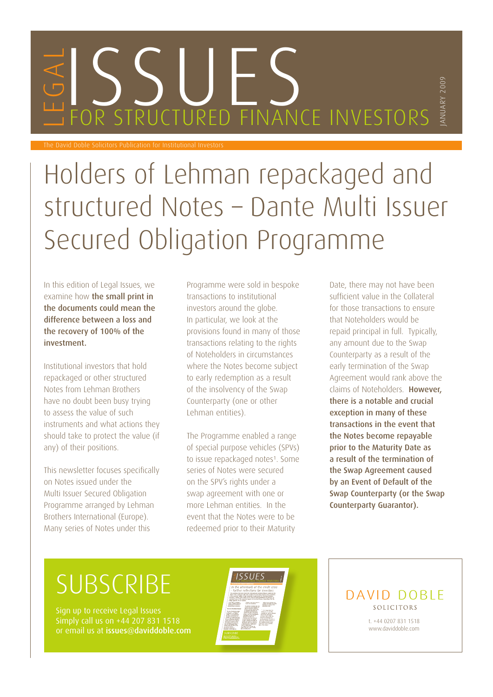# WESSELLES

The David Doble Solicitors Publication for Institutional Investors

## Holders of Lehman repackaged and structured Notes – Dante Multi Issuer Secured Obligation Programme

In this edition of Legal Issues, we examine how the small print in the documents could mean the difference between a loss and the recovery of 100% of the investment.

Institutional investors that hold repackaged or other structured Notes from Lehman Brothers have no doubt been busy trying to assess the value of such instruments and what actions they should take to protect the value (if any) of their positions.

This newsletter focuses specifically on Notes issued under the Multi Issuer Secured Obligation Programme arranged by Lehman Brothers International (Europe). Many series of Notes under this

Programme were sold in bespoke transactions to institutional investors around the globe. In particular, we look at the provisions found in many of those transactions relating to the rights of Noteholders in circumstances where the Notes become subject to early redemption as a result of the insolvency of the Swap Counterparty (one or other Lehman entities).

The Programme enabled a range of special purpose vehicles (SPVs) to issue repackaged notes<sup>1</sup>. Some series of Notes were secured on the SPV's rights under a swap agreement with one or more Lehman entities. In the event that the Notes were to be redeemed prior to their Maturity

Date, there may not have been sufficient value in the Collateral for those transactions to ensure that Noteholders would be repaid principal in full. Typically, any amount due to the Swap Counterparty as a result of the early termination of the Swap Agreement would rank above the claims of Noteholders. However, there is a notable and crucial exception in many of these transactions in the event that the Notes become repayable prior to the Maturity Date as a result of the termination of the Swap Agreement caused by an Event of Default of the Swap Counterparty (or the Swap Counterparty Guarantor).

JANUARY 2009

## **SUBSCRIBE**

Simply call us on +44 207 831 1518 or email us at issues@daviddoble.com